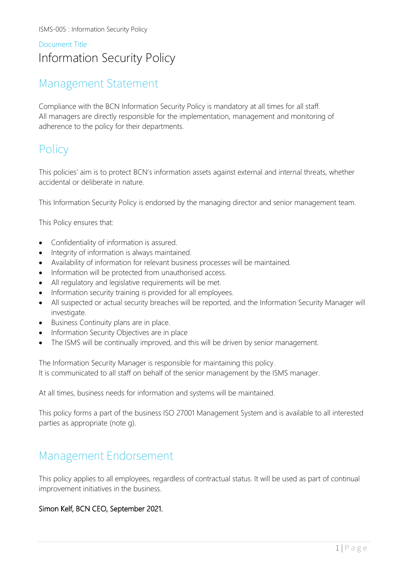# Document Title Information Security Policy

# Management Statement

Compliance with the BCN Information Security Policy is mandatory at all times for all staff. All managers are directly responsible for the implementation, management and monitoring of adherence to the policy for their departments.

# **Policy**

This policies' aim is to protect BCN's information assets against external and internal threats, whether accidental or deliberate in nature.

This Information Security Policy is endorsed by the managing director and senior management team.

This Policy ensures that:

- Confidentiality of information is assured.
- Integrity of information is always maintained.
- Availability of information for relevant business processes will be maintained.
- Information will be protected from unauthorised access.
- All regulatory and legislative requirements will be met.
- Information security training is provided for all employees.
- All suspected or actual security breaches will be reported, and the Information Security Manager will investigate.
- Business Continuity plans are in place.
- Information Security Objectives are in place
- The ISMS will be continually improved, and this will be driven by senior management.

The Information Security Manager is responsible for maintaining this policy. It is communicated to all staff on behalf of the senior management by the ISMS manager.

At all times, business needs for information and systems will be maintained.

This policy forms a part of the business ISO 27001 Management System and is available to all interested parties as appropriate (note g).

# Management Endorsement

This policy applies to all employees, regardless of contractual status. It will be used as part of continual improvement initiatives in the business.

### Simon Kelf, BCN CEO, September 2021.